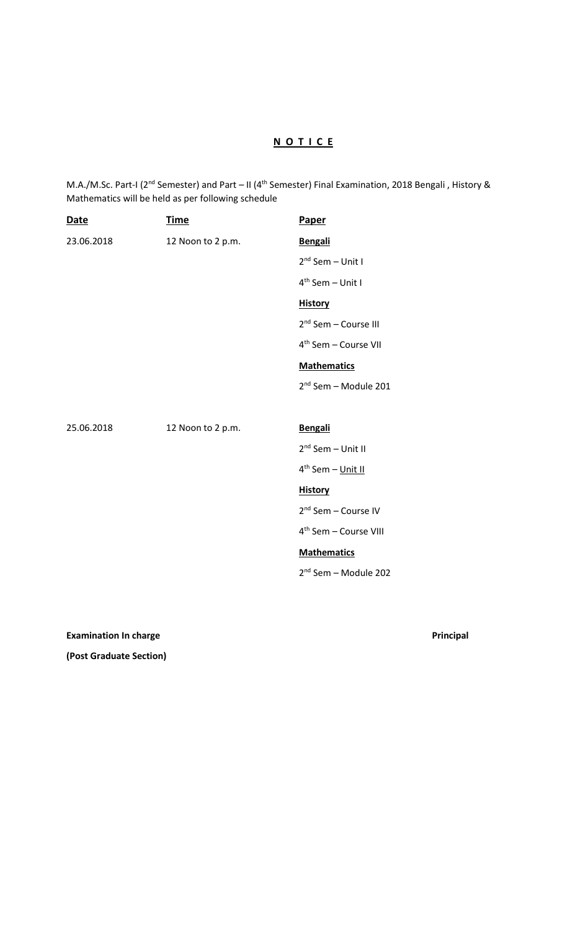## **N O T I C E**

M.A./M.Sc. Part-I (2<sup>nd</sup> Semester) and Part – II (4<sup>th</sup> Semester) Final Examination, 2018 Bengali, History & Mathematics will be held as per following schedule

| <b>Date</b> | <b>Time</b>       | Paper                             |
|-------------|-------------------|-----------------------------------|
| 23.06.2018  | 12 Noon to 2 p.m. | <b>Bengali</b>                    |
|             |                   | $2nd$ Sem – Unit I                |
|             |                   | $4th$ Sem - Unit I                |
|             |                   | <b>History</b>                    |
|             |                   | 2 <sup>nd</sup> Sem - Course III  |
|             |                   | 4 <sup>th</sup> Sem - Course VII  |
|             |                   | <b>Mathematics</b>                |
|             |                   | 2 <sup>nd</sup> Sem - Module 201  |
|             |                   |                                   |
|             |                   |                                   |
| 25.06.2018  | 12 Noon to 2 p.m. | Bengali                           |
|             |                   | 2 <sup>nd</sup> Sem - Unit II     |
|             |                   | 4 <sup>th</sup> Sem - Unit II     |
|             |                   | <b>History</b>                    |
|             |                   | 2 <sup>nd</sup> Sem - Course IV   |
|             |                   | 4 <sup>th</sup> Sem - Course VIII |
|             |                   | <b>Mathematics</b>                |
|             |                   | 2 <sup>nd</sup> Sem - Module 202  |

**Examination In charge Principal** 

**(Post Graduate Section)**